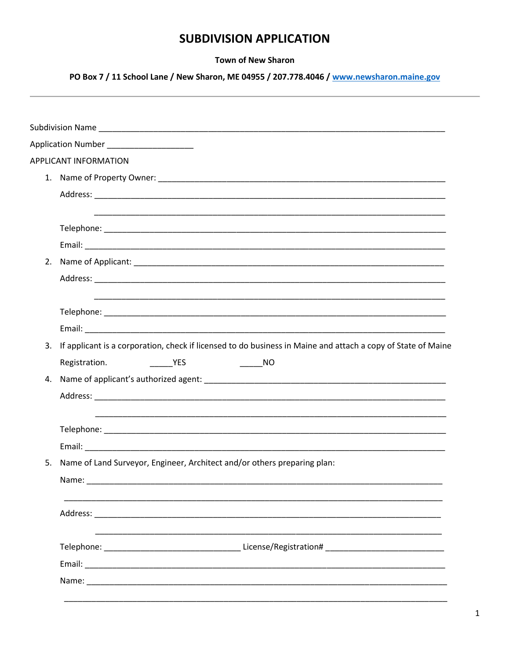## **SUBDIVISION APPLICATION**

## **Town of New Sharon**

PO Box 7 / 11 School Lane / New Sharon, ME 04955 / 207.778.4046 / www.newsharon.maine.gov

|    | Application Number<br>and the state of the state of the state of the state of the state of the state of the state of the state of the |                              |                                                                                                              |  |  |  |  |  |  |
|----|---------------------------------------------------------------------------------------------------------------------------------------|------------------------------|--------------------------------------------------------------------------------------------------------------|--|--|--|--|--|--|
|    | <b>APPLICANT INFORMATION</b>                                                                                                          |                              |                                                                                                              |  |  |  |  |  |  |
|    |                                                                                                                                       |                              |                                                                                                              |  |  |  |  |  |  |
|    |                                                                                                                                       |                              |                                                                                                              |  |  |  |  |  |  |
|    |                                                                                                                                       |                              |                                                                                                              |  |  |  |  |  |  |
|    |                                                                                                                                       |                              |                                                                                                              |  |  |  |  |  |  |
|    |                                                                                                                                       |                              |                                                                                                              |  |  |  |  |  |  |
|    |                                                                                                                                       |                              |                                                                                                              |  |  |  |  |  |  |
|    |                                                                                                                                       |                              |                                                                                                              |  |  |  |  |  |  |
|    |                                                                                                                                       |                              |                                                                                                              |  |  |  |  |  |  |
| 3. |                                                                                                                                       |                              | If applicant is a corporation, check if licensed to do business in Maine and attach a copy of State of Maine |  |  |  |  |  |  |
|    | Registration.                                                                                                                         | $\overline{\phantom{a}}$ YES |                                                                                                              |  |  |  |  |  |  |
|    |                                                                                                                                       |                              |                                                                                                              |  |  |  |  |  |  |
|    |                                                                                                                                       |                              |                                                                                                              |  |  |  |  |  |  |
|    |                                                                                                                                       |                              |                                                                                                              |  |  |  |  |  |  |
|    |                                                                                                                                       |                              |                                                                                                              |  |  |  |  |  |  |
| 5. | Name of Land Surveyor, Engineer, Architect and/or others preparing plan:                                                              |                              |                                                                                                              |  |  |  |  |  |  |
|    |                                                                                                                                       |                              |                                                                                                              |  |  |  |  |  |  |
|    |                                                                                                                                       |                              |                                                                                                              |  |  |  |  |  |  |
|    |                                                                                                                                       |                              |                                                                                                              |  |  |  |  |  |  |
|    |                                                                                                                                       |                              |                                                                                                              |  |  |  |  |  |  |
|    |                                                                                                                                       |                              |                                                                                                              |  |  |  |  |  |  |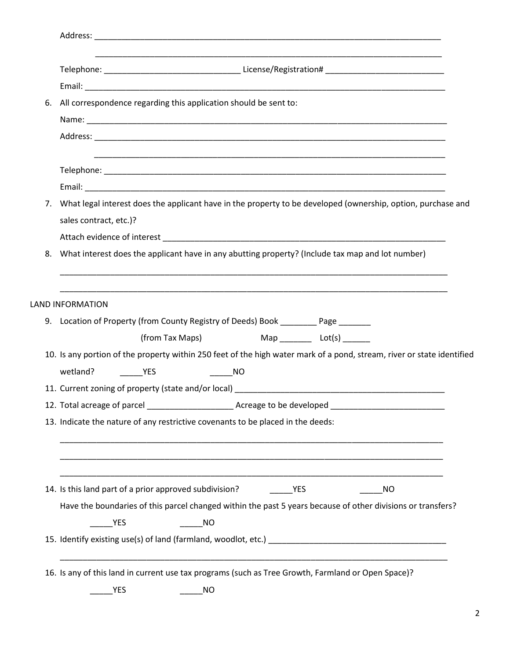| 6. | All correspondence regarding this application should be sent to:                                                                   |                       |                                              |           |  |  |           |  |  |
|----|------------------------------------------------------------------------------------------------------------------------------------|-----------------------|----------------------------------------------|-----------|--|--|-----------|--|--|
|    |                                                                                                                                    |                       |                                              |           |  |  |           |  |  |
|    |                                                                                                                                    |                       |                                              |           |  |  |           |  |  |
|    |                                                                                                                                    |                       |                                              |           |  |  |           |  |  |
|    |                                                                                                                                    |                       |                                              |           |  |  |           |  |  |
|    | 7. What legal interest does the applicant have in the property to be developed (ownership, option, purchase and                    |                       |                                              |           |  |  |           |  |  |
|    | sales contract, etc.)?                                                                                                             |                       |                                              |           |  |  |           |  |  |
|    |                                                                                                                                    |                       |                                              |           |  |  |           |  |  |
| 8. | What interest does the applicant have in any abutting property? (Include tax map and lot number)                                   |                       |                                              |           |  |  |           |  |  |
|    |                                                                                                                                    |                       |                                              |           |  |  |           |  |  |
|    | <b>LAND INFORMATION</b>                                                                                                            |                       |                                              |           |  |  |           |  |  |
|    | 9. Location of Property (from County Registry of Deeds) Book ________ Page ______                                                  |                       |                                              |           |  |  |           |  |  |
|    |                                                                                                                                    |                       |                                              |           |  |  |           |  |  |
|    |                                                                                                                                    |                       |                                              |           |  |  |           |  |  |
|    |                                                                                                                                    |                       | (from Tax Maps) Map _________ Lot(s) _______ |           |  |  |           |  |  |
|    | 10. Is any portion of the property within 250 feet of the high water mark of a pond, stream, river or state identified<br>wetland? | <b>Example 19 YES</b> |                                              | <b>NO</b> |  |  |           |  |  |
|    |                                                                                                                                    |                       |                                              |           |  |  |           |  |  |
|    |                                                                                                                                    |                       |                                              |           |  |  |           |  |  |
|    | 13. Indicate the nature of any restrictive covenants to be placed in the deeds:                                                    |                       |                                              |           |  |  |           |  |  |
|    |                                                                                                                                    |                       |                                              |           |  |  |           |  |  |
|    |                                                                                                                                    |                       |                                              |           |  |  |           |  |  |
|    |                                                                                                                                    |                       |                                              |           |  |  | <b>NO</b> |  |  |
|    | Have the boundaries of this parcel changed within the past 5 years because of other divisions or transfers?                        |                       |                                              |           |  |  |           |  |  |
|    | <b>EXAMPLE</b>                                                                                                                     |                       | <b>NO</b>                                    |           |  |  |           |  |  |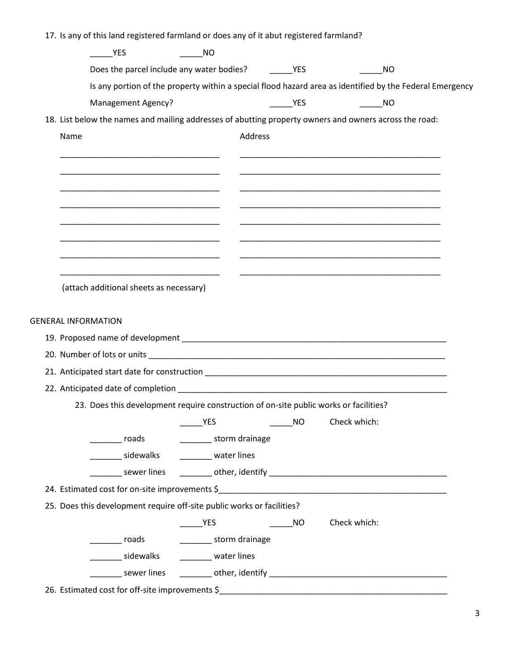| <b>YES</b>                                                                                             | <b>NO</b>                                        |                   |           |              |                                                                                                                       |
|--------------------------------------------------------------------------------------------------------|--------------------------------------------------|-------------------|-----------|--------------|-----------------------------------------------------------------------------------------------------------------------|
|                                                                                                        | Does the parcel include any water bodies?        | <b>Example 25</b> |           |              | <b>NO</b>                                                                                                             |
|                                                                                                        |                                                  |                   |           |              | Is any portion of the property within a special flood hazard area as identified by the Federal Emergency              |
| <b>Management Agency?</b>                                                                              |                                                  |                   | YES       |              | <b>NO</b>                                                                                                             |
| 18. List below the names and mailing addresses of abutting property owners and owners across the road: |                                                  |                   |           |              |                                                                                                                       |
| Name                                                                                                   |                                                  | Address           |           |              |                                                                                                                       |
|                                                                                                        |                                                  |                   |           |              |                                                                                                                       |
|                                                                                                        |                                                  |                   |           |              |                                                                                                                       |
|                                                                                                        |                                                  |                   |           |              |                                                                                                                       |
|                                                                                                        |                                                  |                   |           |              |                                                                                                                       |
|                                                                                                        |                                                  |                   |           |              |                                                                                                                       |
|                                                                                                        |                                                  |                   |           |              |                                                                                                                       |
|                                                                                                        |                                                  |                   |           |              | <u> 1989 - Johann John Stein, markin fan it ferskearre fan it ferskearre fan it ferskearre fan it ferskearre fan </u> |
|                                                                                                        |                                                  |                   |           |              |                                                                                                                       |
| <b>GENERAL INFORMATION</b>                                                                             |                                                  |                   |           |              |                                                                                                                       |
|                                                                                                        |                                                  |                   |           |              |                                                                                                                       |
|                                                                                                        |                                                  |                   |           |              |                                                                                                                       |
|                                                                                                        |                                                  |                   |           |              |                                                                                                                       |
|                                                                                                        |                                                  |                   |           |              |                                                                                                                       |
|                                                                                                        |                                                  |                   |           |              |                                                                                                                       |
| 23. Does this development require construction of on-site public works or facilities?                  |                                                  |                   |           |              |                                                                                                                       |
|                                                                                                        | YES                                              |                   | <b>NO</b> | Check which: |                                                                                                                       |
|                                                                                                        | _________ roads _________________ storm drainage |                   |           |              |                                                                                                                       |
|                                                                                                        | _________ sidewalks __________ water lines       |                   |           |              |                                                                                                                       |
|                                                                                                        |                                                  |                   |           |              |                                                                                                                       |
|                                                                                                        |                                                  |                   |           |              |                                                                                                                       |
| 25. Does this development require off-site public works or facilities?                                 |                                                  |                   |           |              |                                                                                                                       |
|                                                                                                        | <b>Example 19</b>                                |                   | <b>NO</b> | Check which: |                                                                                                                       |
| __________ roads                                                                                       | __________ storm drainage                        |                   |           |              |                                                                                                                       |
|                                                                                                        | ________ sidewalks _________ water lines         |                   |           |              |                                                                                                                       |